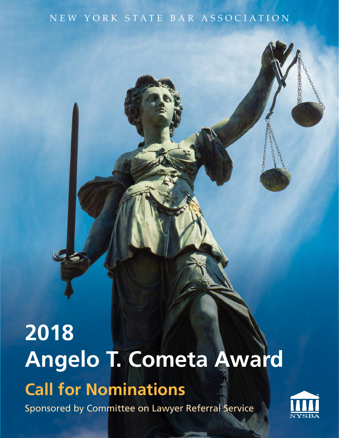### New York State Bar Ass ociatio n

# **Call for Nominations** Sponsored by Committee on Lawyer Referral Service **2018 Angelo T. Cometa Award**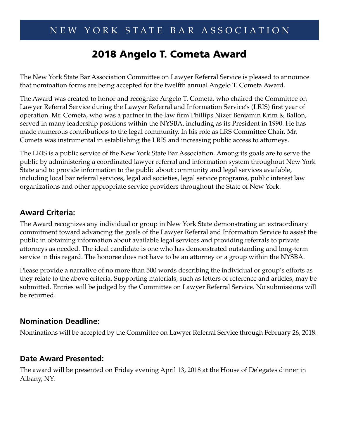## 2018 Angelo T. Cometa Award

The New York State Bar Association Committee on Lawyer Referral Service is pleased to announce that nomination forms are being accepted for the twelfth annual Angelo T. Cometa Award.

The Award was created to honor and recognize Angelo T. Cometa, who chaired the Committee on Lawyer Referral Service during the Lawyer Referral and Information Service's (LRIS) first year of operation. Mr. Cometa, who was a partner in the law firm Phillips Nizer Benjamin Krim & Ballon, served in many leadership positions within the NYSBA, including as its President in 1990. He has made numerous contributions to the legal community. In his role as LRS Committee Chair, Mr. Cometa was instrumental in establishing the LRIS and increasing public access to attorneys.

The LRIS is a public service of the New York State Bar Association. Among its goals are to serve the public by administering a coordinated lawyer referral and information system throughout New York State and to provide information to the public about community and legal services available, including local bar referral services, legal aid societies, legal service programs, public interest law organizations and other appropriate service providers throughout the State of New York.

#### **Award Criteria:**

The Award recognizes any individual or group in New York State demonstrating an extraordinary commitment toward advancing the goals of the Lawyer Referral and Information Service to assist the public in obtaining information about available legal services and providing referrals to private attorneys as needed. The ideal candidate is one who has demonstrated outstanding and long-term service in this regard. The honoree does not have to be an attorney or a group within the NYSBA.

Please provide a narrative of no more than 500 words describing the individual or group's efforts as they relate to the above criteria. Supporting materials, such as letters of reference and articles, may be submitted. Entries will be judged by the Committee on Lawyer Referral Service. No submissions will be returned.

#### **Nomination Deadline:**

Nominations will be accepted by the Committee on Lawyer Referral Service through February 26, 2018.

#### **Date Award Presented:**

The award will be presented on Friday evening April 13, 2018 at the House of Delegates dinner in Albany, NY.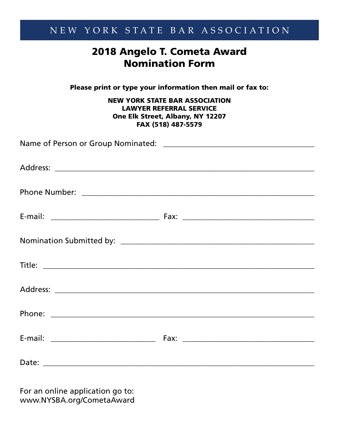## New York State Bar Ass ociatio n

## 2018 Angelo T. Cometa Award Nomination Form

Please print or type your information then mail or fax to:

#### NEW YORK STATE BAR ASSOCIATION LAWYER REFERRAL SERVICE One Elk Street, Albany, NY 12207 FAX (518) 487-5579

For an online application go to: www.NYSBA.org/CometaAward